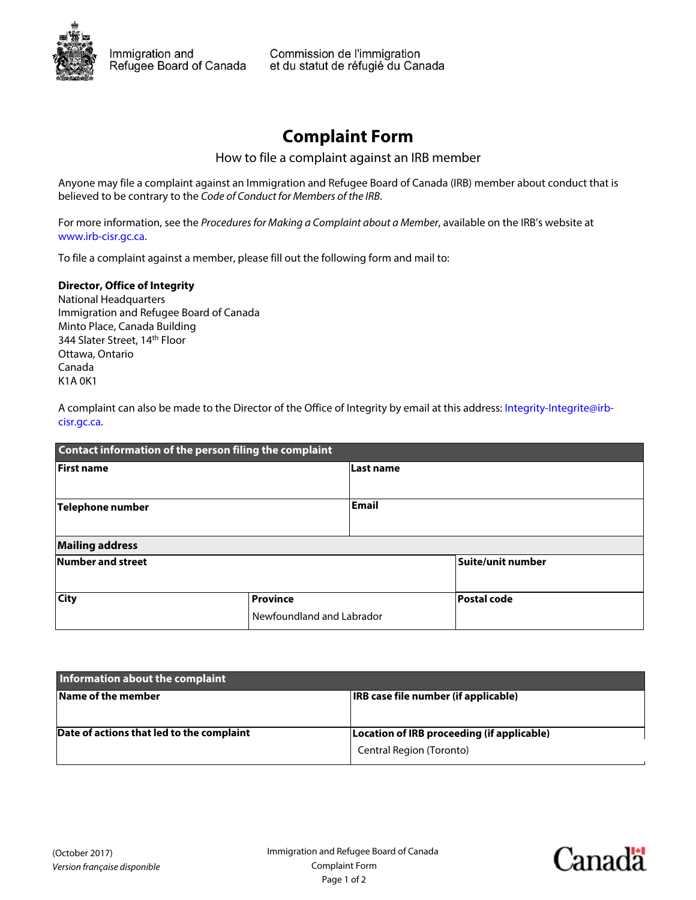

## **Complaint Form**

How to file a complaint against an IRB member

Anyone may file a complaint against an Immigration and Refugee Board of Canada (IRB) member about conduct that is believed to be contrary to the Code of Conduct for Members of the IRB.

For more information, see the Procedures for Making a Complaint about a Member, available on the IRB's website at [www.irb-cisr.gc.ca.](http://www.irb-cisr.gc.ca)

To file a complaint against a member, please fill out the following form and mail to:

## **Director, Office of Integrity**

National Headquarters Immigration and Refugee Board of Canada Minto Place, Canada Building 344 Slater Street, 14<sup>th</sup> Floor Ottawa, Ontario Canada K1A 0K1

[A complaint can also be made to the Director of the Office of Integrity by email at this address: Integrity-Integrite@irb](mailto:Integrity-Integrite@irb-cisr.gc.ca)cisr.gc.ca.

| Contact information of the person filing the complaint |                                              |                   |             |  |
|--------------------------------------------------------|----------------------------------------------|-------------------|-------------|--|
| <b>First name</b>                                      |                                              | Last name         |             |  |
| <b>Telephone number</b>                                |                                              | Email             |             |  |
| <b>Mailing address</b>                                 |                                              |                   |             |  |
| Number and street                                      |                                              | Suite/unit number |             |  |
| <b>City</b>                                            | <b>Province</b><br>Newfoundland and Labrador |                   | Postal code |  |
|                                                        |                                              |                   |             |  |

| Information about the complaint           |                                                                        |  |  |
|-------------------------------------------|------------------------------------------------------------------------|--|--|
| Name of the member                        | IRB case file number (if applicable)                                   |  |  |
| Date of actions that led to the complaint | Location of IRB proceeding (if applicable)<br>Central Region (Toronto) |  |  |